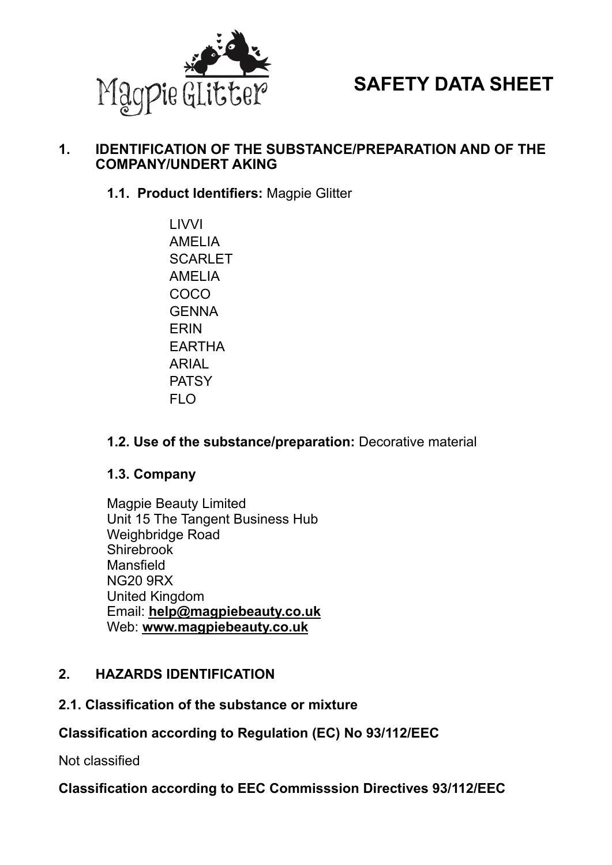

# **SAFETY DATA SHEET**

#### **1. IDENTIFICATION OF THE SUBSTANCE/PREPARATION AND OF THE COMPANY/UNDERT AKING**

**1.1. Product Identifiers:** Magpie Glitter

**LIVVI**  AMELIA **SCARLET**  AMELIA COCO **GENNA**  ERIN EARTHA ARIAL **PATSY** FLO

#### **1.2. Use of the substance/preparation:** Decorative material

#### **1.3. Company**

Magpie Beauty Limited Unit 15 The Tangent Business Hub Weighbridge Road Shirebrook Mansfield NG20 9RX United Kingdom Email: **[help@magpiebeauty.co.uk](mailto:help@magpiebeauty.co.uk)** Web: **[www.magpiebeauty.co.uk](http://www.magpiebeauty.co.uk)**

#### **2. HAZARDS IDENTIFICATION**

#### **2.1. Classification of the substance or mixture**

#### **Classification according to Regulation (EC) No 93/112/EEC**

Not classified

**Classification according to EEC Commisssion Directives 93/112/EEC**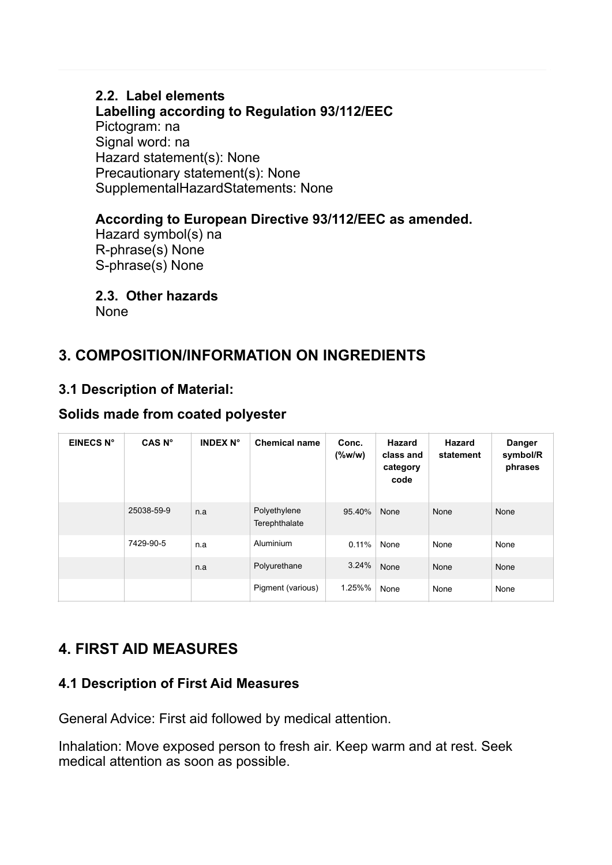# **2.2. Label elements**

**Labelling according to Regulation 93/112/EEC** Pictogram: na Signal word: na Hazard statement(s): None Precautionary statement(s): None SupplementalHazardStatements: None

### **According to European Directive 93/112/EEC as amended.**

Hazard symbol(s) na R-phrase(s) None S-phrase(s) None

#### **2.3. Other hazards**

None

# **3. COMPOSITION/INFORMATION ON INGREDIENTS**

## **3.1 Description of Material:**

#### **Solids made from coated polyester**

| <b>EINECS N°</b> | CAS <sub>N°</sub> | <b>INDEX N°</b> | <b>Chemical name</b>          | Conc.<br>$(\%w/w)$ | <b>Hazard</b><br>class and<br>category<br>code | <b>Hazard</b><br>statement | Danger<br>symbol/R<br>phrases |
|------------------|-------------------|-----------------|-------------------------------|--------------------|------------------------------------------------|----------------------------|-------------------------------|
|                  | 25038-59-9        | n.a             | Polyethylene<br>Terephthalate | 95.40%             | None                                           | None                       | None                          |
|                  | 7429-90-5         | n.a             | Aluminium                     | $0.11\%$           | None                                           | None                       | None                          |
|                  |                   | n.a             | Polyurethane                  | 3.24%              | None                                           | None                       | None                          |
|                  |                   |                 | Pigment (various)             | 1.25%%             | None                                           | None                       | None                          |

# **4. FIRST AID MEASURES**

### **4.1 Description of First Aid Measures**

General Advice: First aid followed by medical attention.

Inhalation: Move exposed person to fresh air. Keep warm and at rest. Seek medical attention as soon as possible.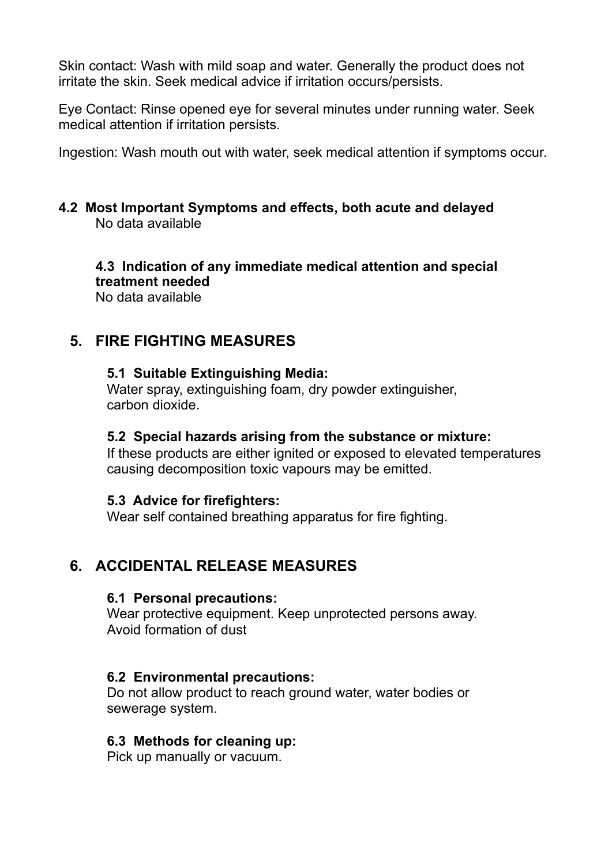Skin contact: Wash with mild soap and water. Generally the product does not irritate the skin. Seek medical advice if irritation occurs/persists.

Eye Contact: Rinse opened eye for several minutes under running water. Seek medical attention if irritation persists.

Ingestion: Wash mouth out with water, seek medical attention if symptoms occur.

#### **4.2 Most Important Symptoms and effects, both acute and delayed**  No data available

 **4.3 Indication of any immediate medical attention and special treatment needed**  No data available

# **5. FIRE FIGHTING MEASURES**

#### **5.1 Suitable Extinguishing Media:**

Water spray, extinguishing foam, dry powder extinguisher, carbon dioxide.

#### **5.2 Special hazards arising from the substance or mixture:**

If these products are either ignited or exposed to elevated temperatures causing decomposition toxic vapours may be emitted.

#### **5.3 Advice for firefighters:**

Wear self contained breathing apparatus for fire fighting.

# **6. ACCIDENTAL RELEASE MEASURES**

#### **6.1 Personal precautions:**

Wear protective equipment. Keep unprotected persons away. Avoid formation of dust

#### **6.2 Environmental precautions:**

Do not allow product to reach ground water, water bodies or sewerage system.

#### **6.3 Methods for cleaning up:**

Pick up manually or vacuum.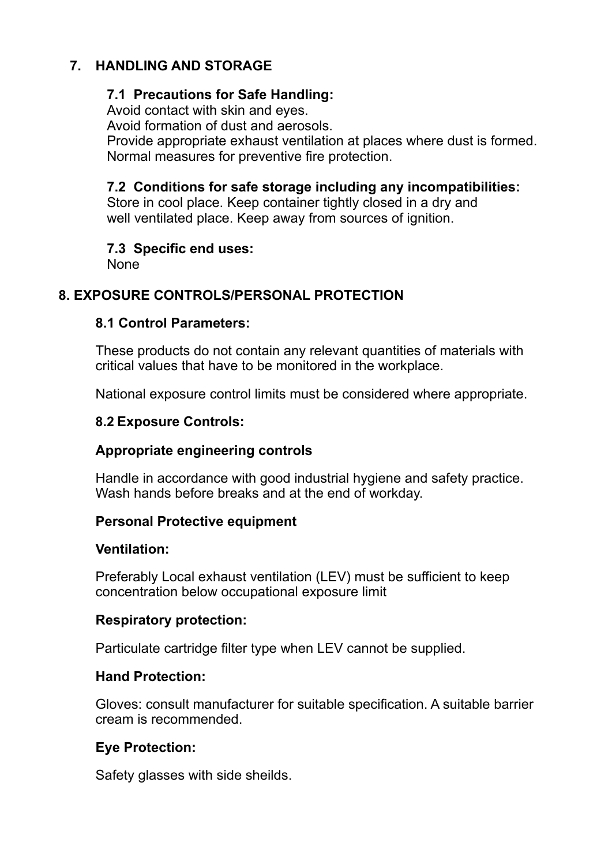# **7. HANDLING AND STORAGE**

#### **7.1 Precautions for Safe Handling:**

Avoid contact with skin and eyes.

Avoid formation of dust and aerosols.

 Provide appropriate exhaust ventilation at places where dust is formed. Normal measures for preventive fire protection.

#### **7.2 Conditions for safe storage including any incompatibilities:**

Store in cool place. Keep container tightly closed in a dry and well ventilated place. Keep away from sources of ignition.

#### **7.3 Specific end uses:**

None

## **8. EXPOSURE CONTROLS/PERSONAL PROTECTION**

#### **8.1 Control Parameters:**

These products do not contain any relevant quantities of materials with critical values that have to be monitored in the workplace.

National exposure control limits must be considered where appropriate.

#### **8.2 Exposure Controls:**

### **Appropriate engineering controls**

Handle in accordance with good industrial hygiene and safety practice. Wash hands before breaks and at the end of workday.

#### **Personal Protective equipment**

#### **Ventilation:**

Preferably Local exhaust ventilation (LEV) must be sufficient to keep concentration below occupational exposure limit

#### **Respiratory protection:**

Particulate cartridge filter type when LEV cannot be supplied.

### **Hand Protection:**

Gloves: consult manufacturer for suitable specification. A suitable barrier cream is recommended.

### **Eye Protection:**

Safety glasses with side sheilds.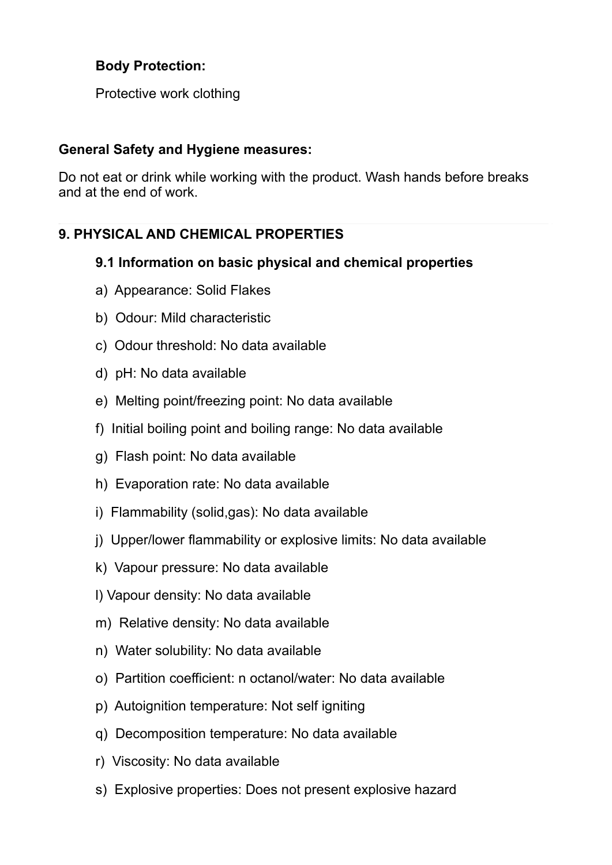### **Body Protection:**

Protective work clothing

#### **General Safety and Hygiene measures:**

Do not eat or drink while working with the product. Wash hands before breaks and at the end of work.

# **9. PHYSICAL AND CHEMICAL PROPERTIES**

### **9.1 Information on basic physical and chemical properties**

- a) Appearance: Solid Flakes
- b) Odour: Mild characteristic
- c) Odour threshold: No data available
- d) pH: No data available
- e) Melting point/freezing point: No data available
- f) Initial boiling point and boiling range: No data available
- g) Flash point: No data available
- h) Evaporation rate: No data available
- i) Flammability (solid,gas): No data available
- j) Upper/lower flammability or explosive limits: No data available
- k) Vapour pressure: No data available
- l) Vapour density: No data available
- m) Relative density: No data available
- n) Water solubility: No data available
- o) Partition coefficient: n octanol/water: No data available
- p) Autoignition temperature: Not self igniting
- q) Decomposition temperature: No data available
- r) Viscosity: No data available
- s) Explosive properties: Does not present explosive hazard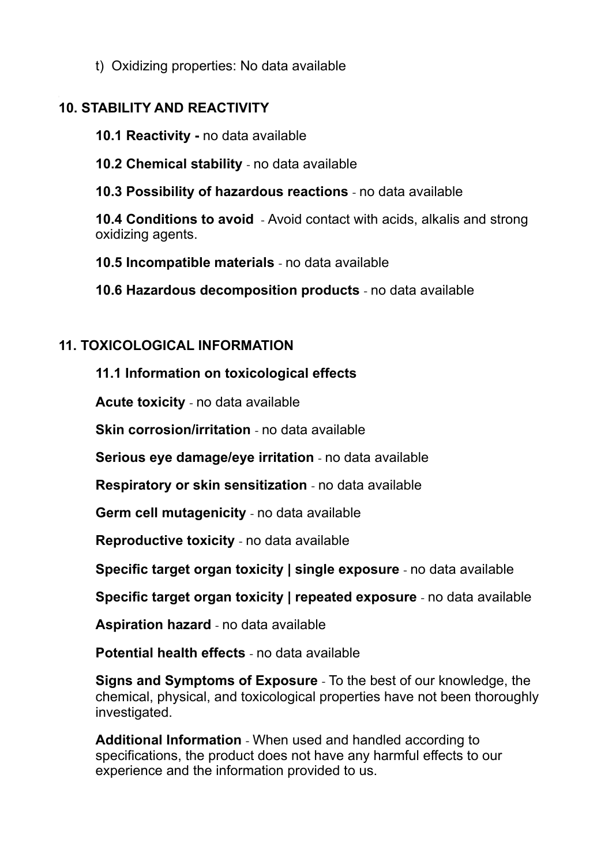t) Oxidizing properties: No data available

# **10. STABILITY AND REACTIVITY**

 **10.1 Reactivity -** no data available

**10.2 Chemical stability** - no data available

**10.3 Possibility of hazardous reactions** - no data available

**10.4 Conditions to avoid** - Avoid contact with acids, alkalis and strong oxidizing agents.

**10.5 Incompatible materials** - no data available

**10.6 Hazardous decomposition products** - no data available

# **11. TOXICOLOGICAL INFORMATION**

**11.1 Information on toxicological effects** 

**Acute toxicity** - no data available

**Skin corrosion/irritation** - no data available

**Serious eye damage/eye irritation** - no data available

**Respiratory or skin sensitization** - no data available

**Germ cell mutagenicity** - no data available

**Reproductive toxicity** - no data available

**Specific target organ toxicity | single exposure** - no data available

**Specific target organ toxicity | repeated exposure** - no data available

**Aspiration hazard** - no data available

**Potential health effects** - no data available

**Signs and Symptoms of Exposure** - To the best of our knowledge, the chemical, physical, and toxicological properties have not been thoroughly investigated.

**Additional Information** - When used and handled according to specifications, the product does not have any harmful effects to our experience and the information provided to us.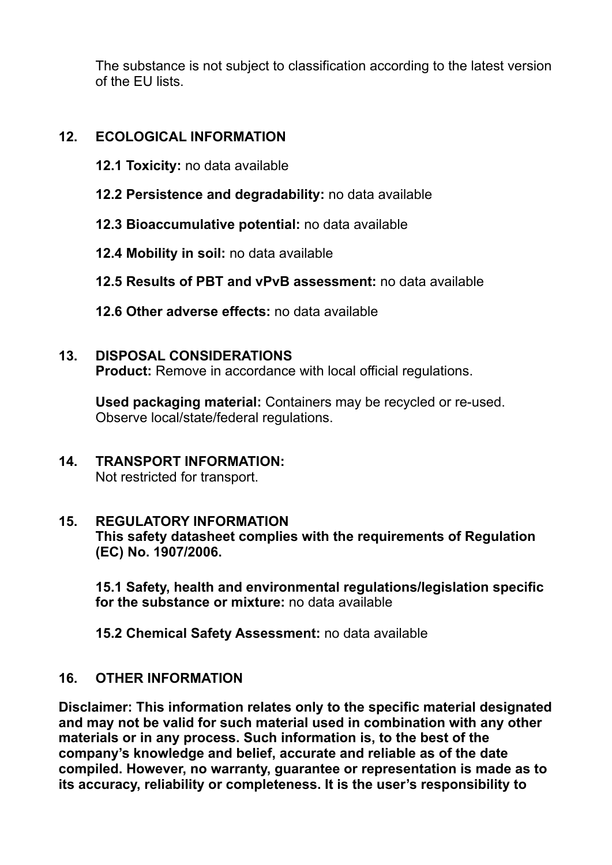The substance is not subject to classification according to the latest version of the EU lists.

#### **12. ECOLOGICAL INFORMATION**

- **12.1 Toxicity:** no data available
- **12.2 Persistence and degradability:** no data available
- **12.3 Bioaccumulative potential:** no data available
- **12.4 Mobility in soil:** no data available
- **12.5 Results of PBT and vPvB assessment:** no data available
- **12.6 Other adverse effects:** no data available

#### **13. DISPOSAL CONSIDERATIONS**

**Product:** Remove in accordance with local official regulations.

 **Used packaging material:** Containers may be recycled or re-used. Observe local/state/federal regulations.

**14. TRANSPORT INFORMATION:**  Not restricted for transport.

#### **15. REGULATORY INFORMATION**

**This safety datasheet complies with the requirements of Regulation (EC) No. 1907/2006.** 

**15.1 Safety, health and environmental regulations/legislation specific for the substance or mixture:** no data available

 **15.2 Chemical Safety Assessment:** no data available

#### **16. OTHER INFORMATION**

**Disclaimer: This information relates only to the specific material designated and may not be valid for such material used in combination with any other materials or in any process. Such information is, to the best of the company's knowledge and belief, accurate and reliable as of the date compiled. However, no warranty, guarantee or representation is made as to its accuracy, reliability or completeness. It is the user's responsibility to**